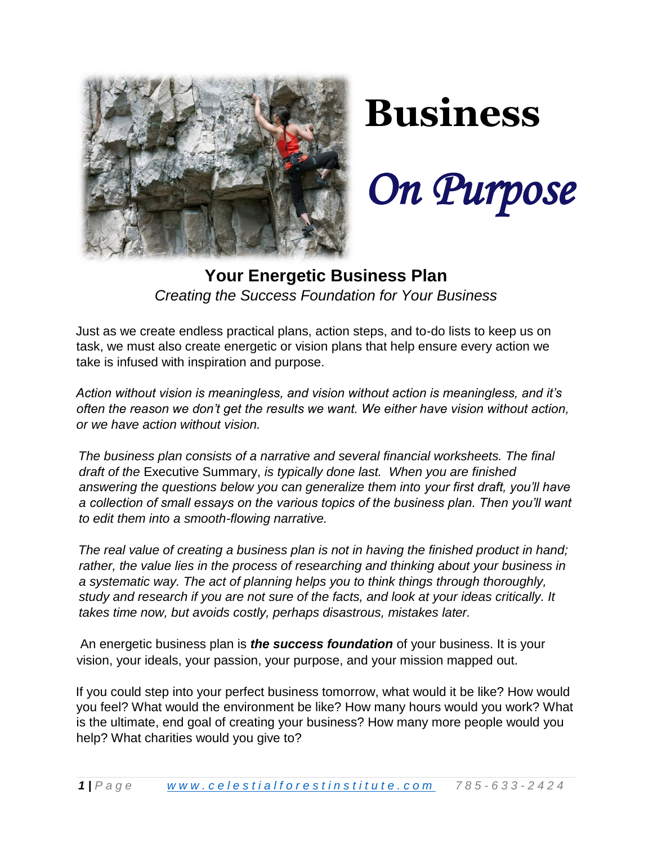

# **Business**

*On Purpose*

## **Your Energetic Business Plan**  *Creating the Success Foundation for Your Business*

Just as we create endless practical plans, action steps, and to-do lists to keep us on task, we must also create energetic or vision plans that help ensure every action we take is infused with inspiration and purpose.

*Action without vision is meaningless, and vision without action is meaningless, and it's often the reason we don't get the results we want. We either have vision without action, or we have action without vision.* 

*The business plan consists of a narrative and several financial worksheets. The final draft of the* Executive Summary, *is typically done last. When you are finished answering the questions below you can generalize them into your first draft, you'll have a collection of small essays on the various topics of the business plan. Then you'll want to edit them into a smooth-flowing narrative.*

*The real value of creating a business plan is not in having the finished product in hand; rather, the value lies in the process of researching and thinking about your business in a systematic way. The act of planning helps you to think things through thoroughly, study and research if you are not sure of the facts, and look at your ideas critically. It takes time now, but avoids costly, perhaps disastrous, mistakes later.*

An energetic business plan is *the success foundation* of your business. It is your vision, your ideals, your passion, your purpose, and your mission mapped out.

If you could step into your perfect business tomorrow, what would it be like? How would you feel? What would the environment be like? How many hours would you work? What is the ultimate, end goal of creating your business? How many more people would you help? What charities would you give to?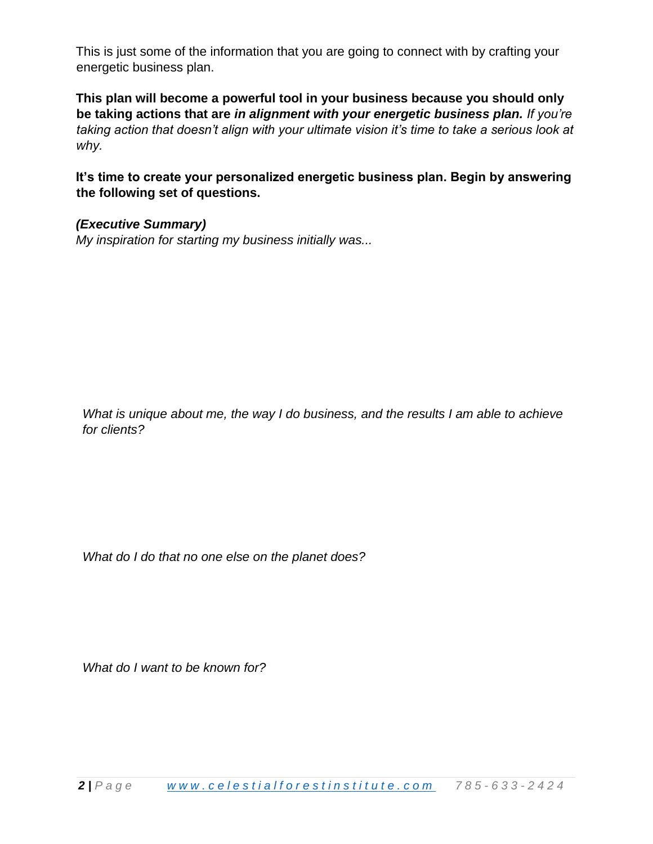This is just some of the information that you are going to connect with by crafting your energetic business plan.

**This plan will become a powerful tool in your business because you should only be taking actions that are** *in alignment with your energetic business plan. If you're taking action that doesn't align with your ultimate vision it's time to take a serious look at why.* 

**It's time to create your personalized energetic business plan. Begin by answering the following set of questions.** 

*(Executive Summary) My inspiration for starting my business initially was...* 

*What is unique about me, the way I do business, and the results I am able to achieve for clients?*

*What do I do that no one else on the planet does?*

*What do I want to be known for?*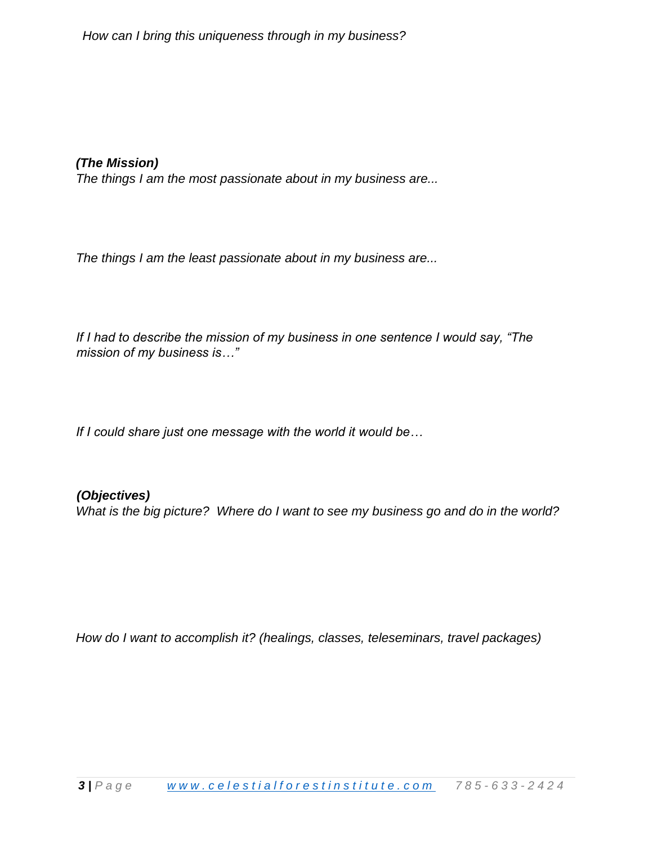*(The Mission)*

*The things I am the most passionate about in my business are...* 

*The things I am the least passionate about in my business are...* 

*If I had to describe the mission of my business in one sentence I would say, "The mission of my business is…"* 

*If I could share just one message with the world it would be…* 

*(Objectives) What is the big picture? Where do I want to see my business go and do in the world?*

*How do I want to accomplish it? (healings, classes, teleseminars, travel packages)*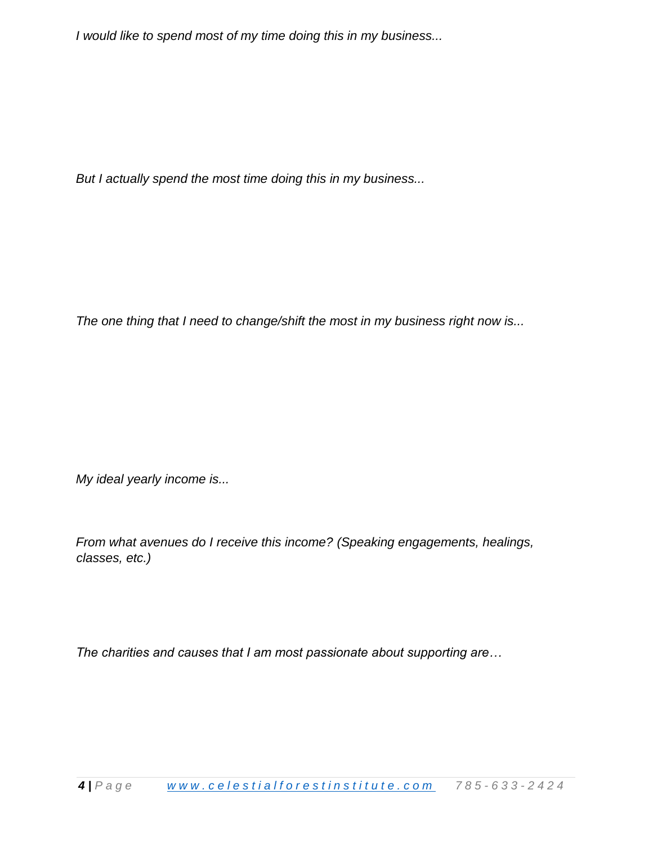*I would like to spend most of my time doing this in my business...* 

*But I actually spend the most time doing this in my business...* 

*The one thing that I need to change/shift the most in my business right now is...* 

*My ideal yearly income is...* 

*From what avenues do I receive this income? (Speaking engagements, healings, classes, etc.)*

*The charities and causes that I am most passionate about supporting are…*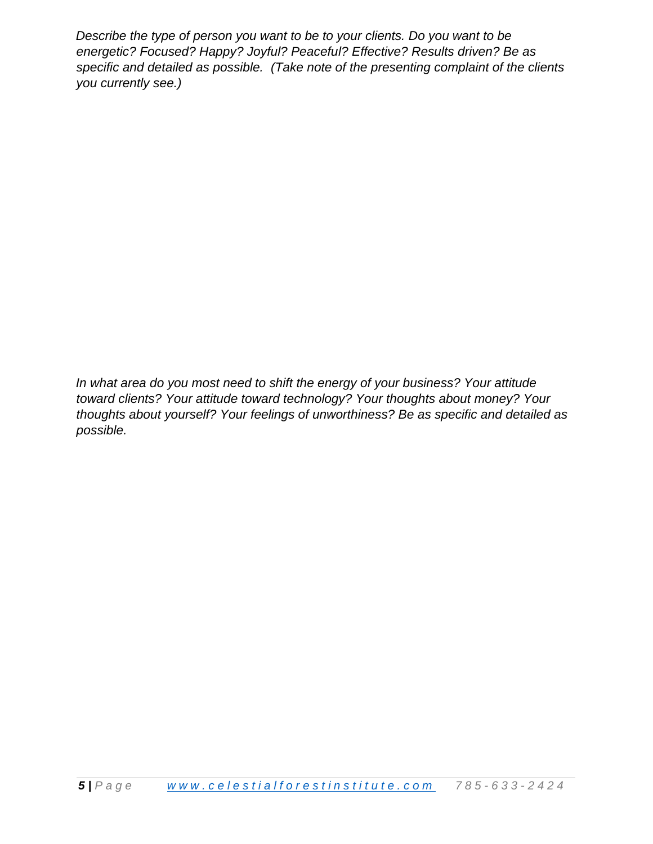*Describe the type of person you want to be to your clients. Do you want to be energetic? Focused? Happy? Joyful? Peaceful? Effective? Results driven? Be as specific and detailed as possible. (Take note of the presenting complaint of the clients you currently see.)*

*In what area do you most need to shift the energy of your business? Your attitude toward clients? Your attitude toward technology? Your thoughts about money? Your thoughts about yourself? Your feelings of unworthiness? Be as specific and detailed as possible.*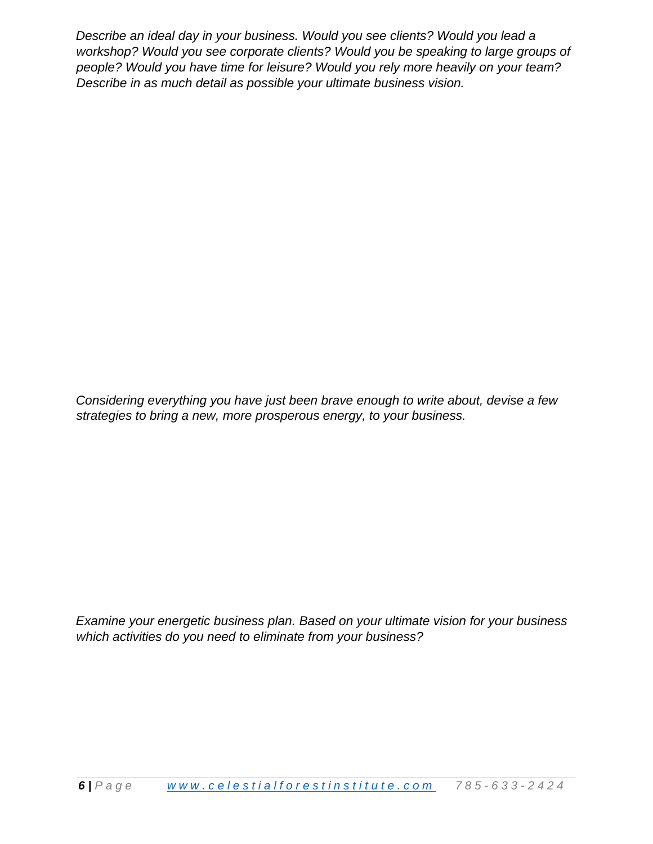*Describe an ideal day in your business. Would you see clients? Would you lead a workshop? Would you see corporate clients? Would you be speaking to large groups of people? Would you have time for leisure? Would you rely more heavily on your team? Describe in as much detail as possible your ultimate business vision.* 

*Considering everything you have just been brave enough to write about, devise a few strategies to bring a new, more prosperous energy, to your business.* 

*Examine your energetic business plan. Based on your ultimate vision for your business which activities do you need to eliminate from your business?*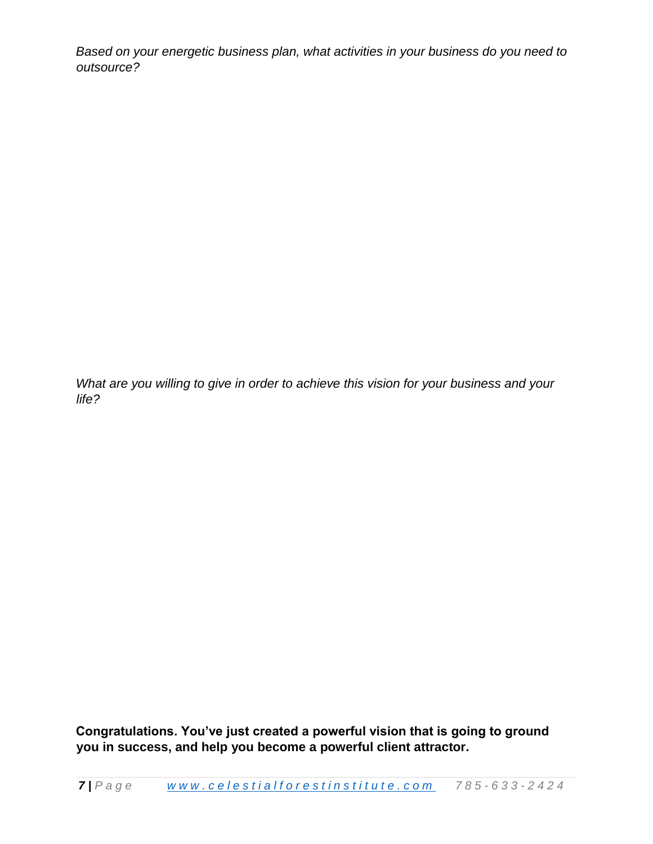*Based on your energetic business plan, what activities in your business do you need to outsource?* 

*What are you willing to give in order to achieve this vision for your business and your life?* 

**Congratulations. You've just created a powerful vision that is going to ground you in success, and help you become a powerful client attractor.**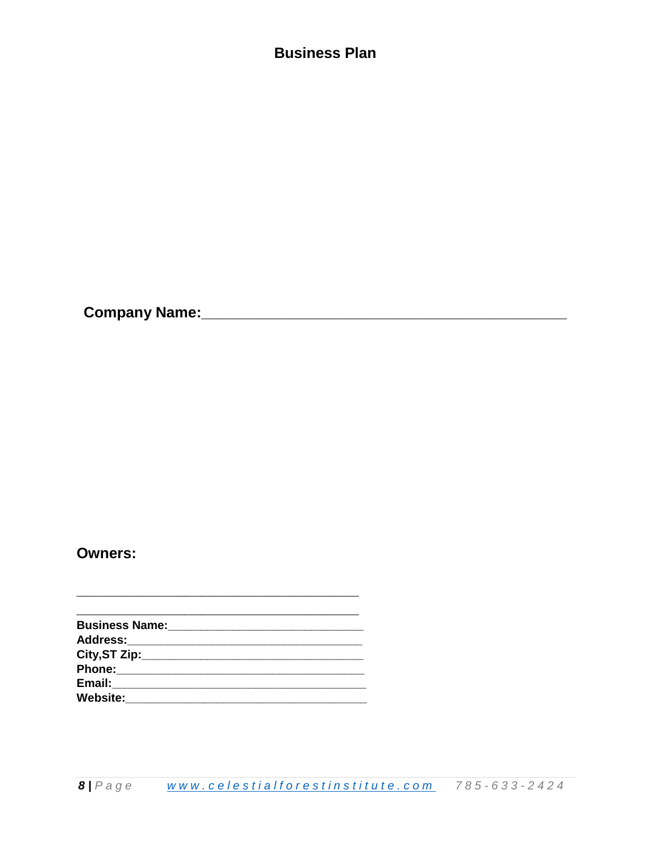## **Business Plan**

**Owners:** 

<u> 1980 - Johann John Harry Barn, mars ar breis an t-</u> 

<u> 1989 - Johann John Stone, meilich an der Stone (d. 1989)</u>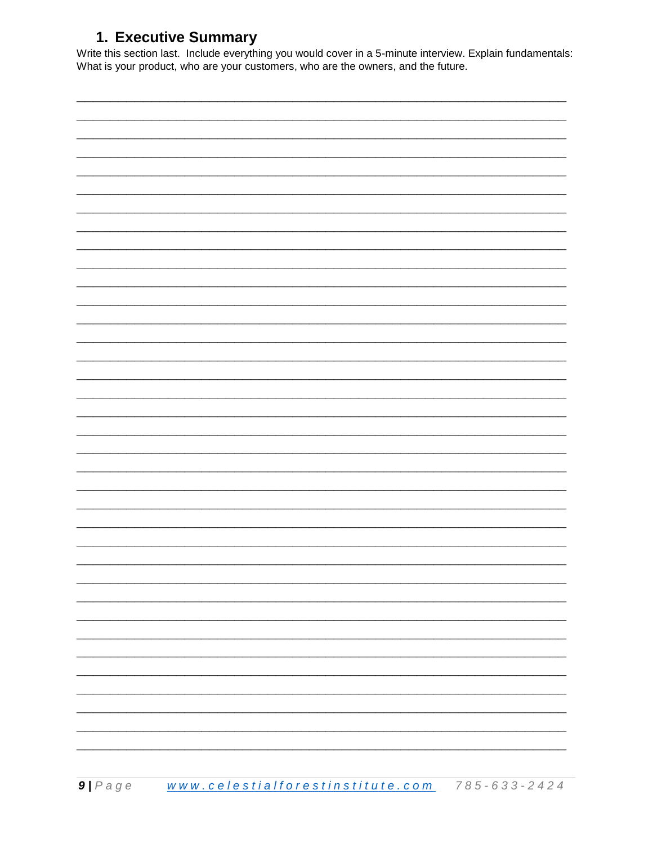## 1. Executive Summary

Write this section last. Include everything you would cover in a 5-minute interview. Explain fundamentals: What is your product, who are your customers, who are the owners, and the future.

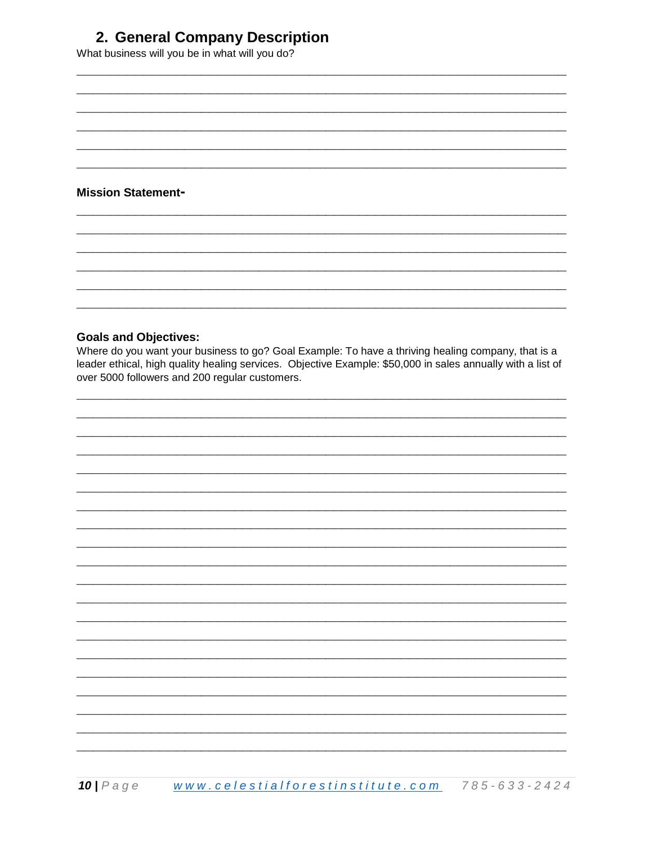## 2. General Company Description

What business will you be in what will you do?

## **Mission Statement-**

## **Goals and Objectives:**

Where do you want your business to go? Goal Example: To have a thriving healing company, that is a leader ethical, high quality healing services. Objective Example: \$50,000 in sales annually with a list of over 5000 followers and 200 regular customers.

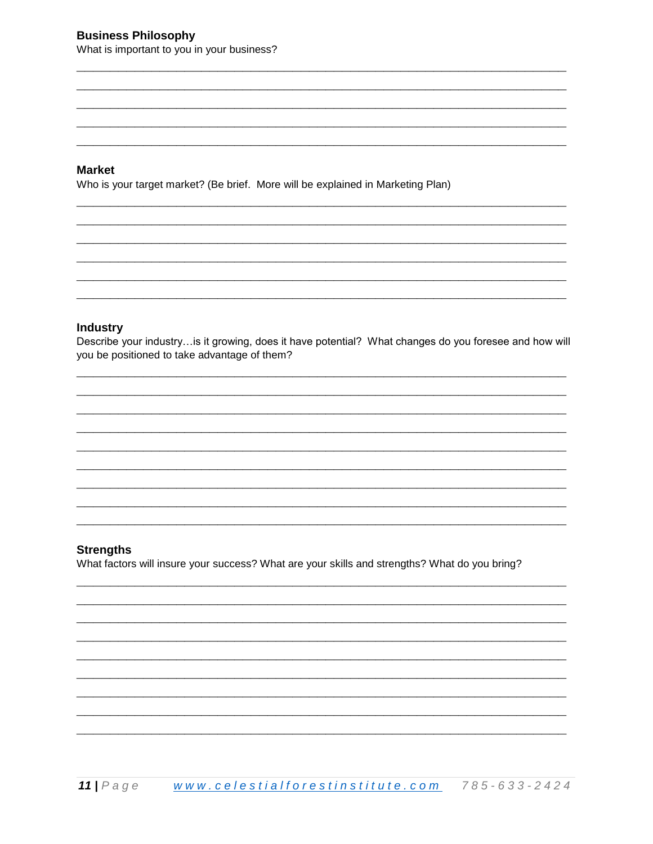#### **Market**

Who is your target market? (Be brief. More will be explained in Marketing Plan)

#### **Industry**

Describe your industry... is it growing, does it have potential? What changes do you foresee and how will you be positioned to take advantage of them?

#### **Strengths**

What factors will insure your success? What are your skills and strengths? What do you bring?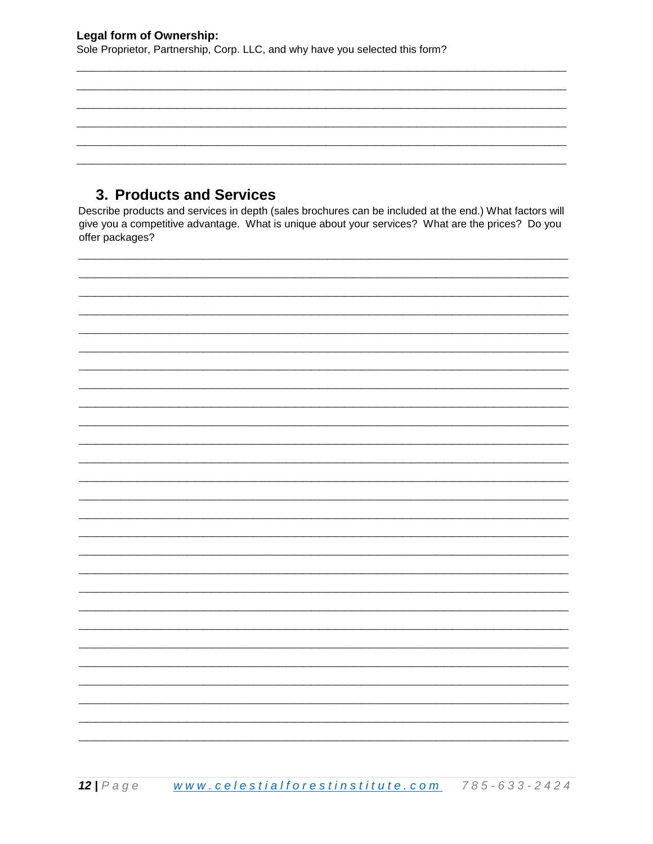Sole Proprietor, Partnership, Corp. LLC, and why have you selected this form?

## 3. Products and Services

Describe products and services in depth (sales brochures can be included at the end.) What factors will give you a competitive advantage. What is unique about your services? What are the prices? Do you offer packages?

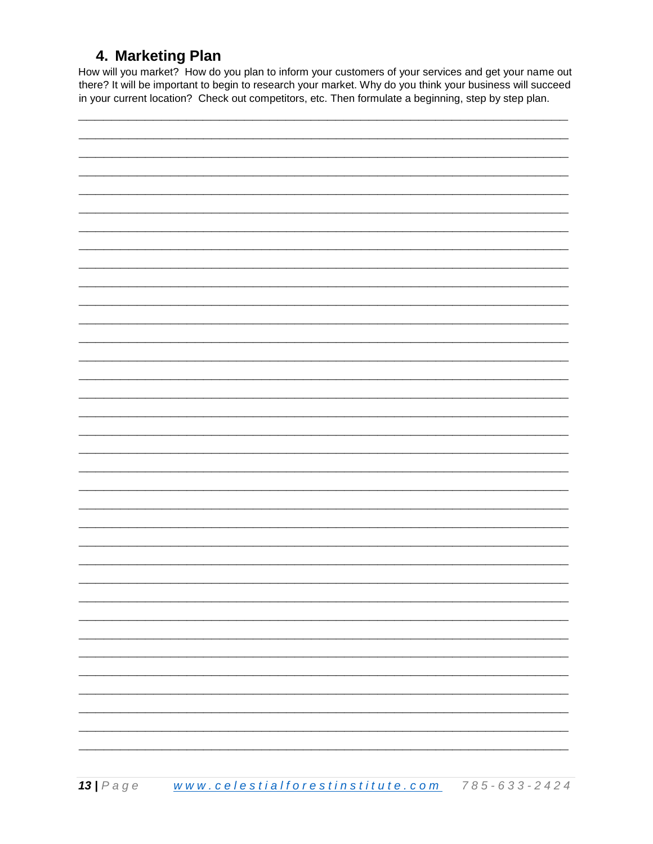## 4. Marketing Plan

How will you market? How do you plan to inform your customers of your services and get your name out there? It will be important to begin to research your market. Why do you think your business will succeed in your current location? Check out competitors, etc. Then formulate a beginning, step by step plan.

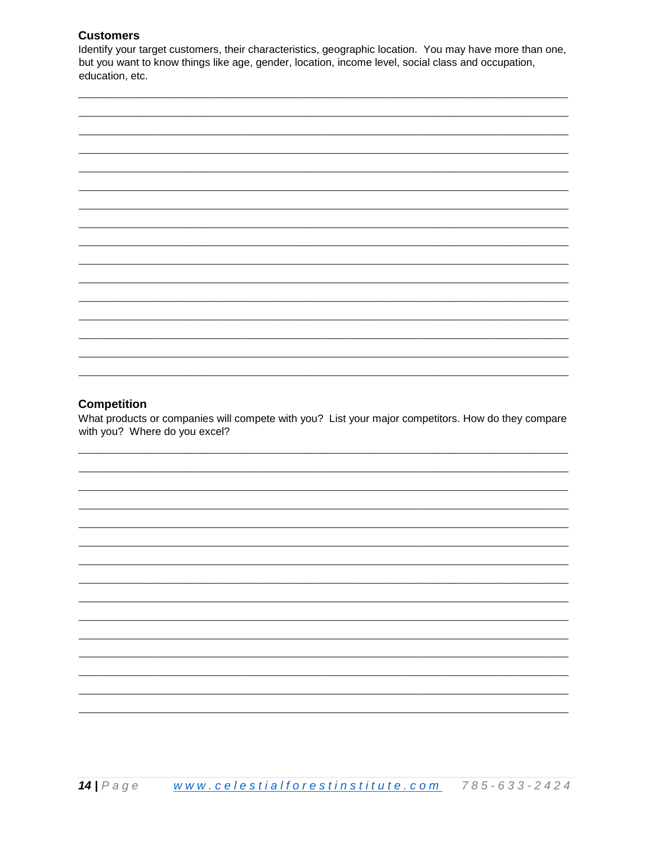## **Customers**

Identify your target customers, their characteristics, geographic location. You may have more than one, but you want to know things like age, gender, location, income level, social class and occupation, education, etc.



#### **Competition**

What products or companies will compete with you? List your major competitors. How do they compare with you? Where do you excel?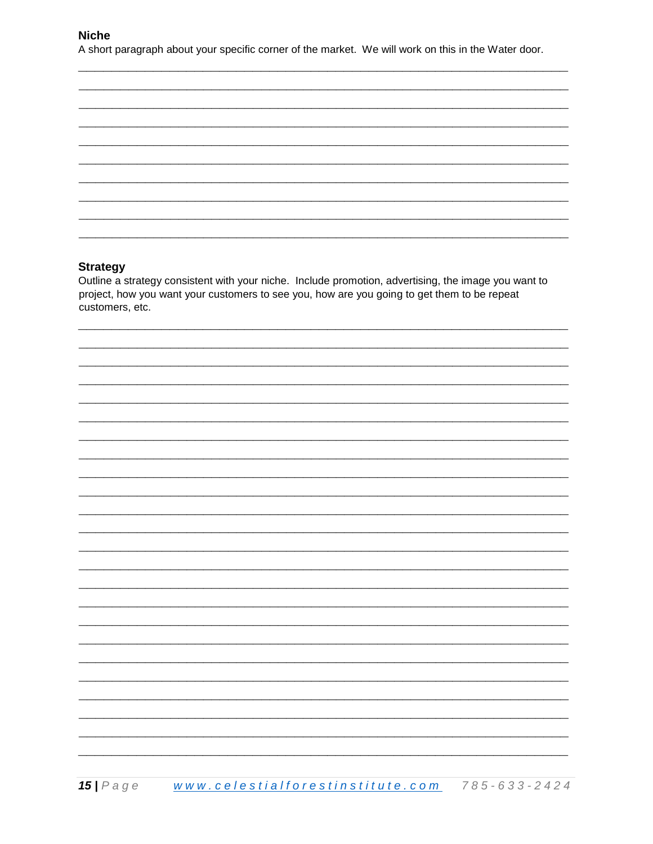#### **Niche**

A short paragraph about your specific corner of the market. We will work on this in the Water door.

#### **Strategy**

Outline a strategy consistent with your niche. Include promotion, advertising, the image you want to project, how you want your customers to see you, how are you going to get them to be repeat customers, etc.

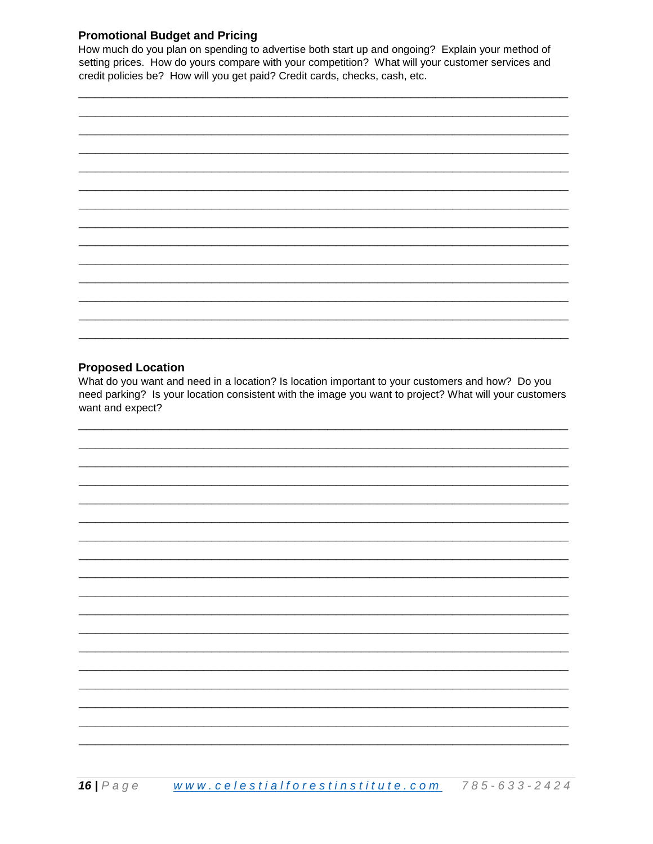## **Promotional Budget and Pricing**

How much do you plan on spending to advertise both start up and ongoing? Explain your method of setting prices. How do yours compare with your competition? What will your customer services and credit policies be? How will you get paid? Credit cards, checks, cash, etc.



#### **Proposed Location**

What do you want and need in a location? Is location important to your customers and how? Do you need parking? Is your location consistent with the image you want to project? What will your customers want and expect?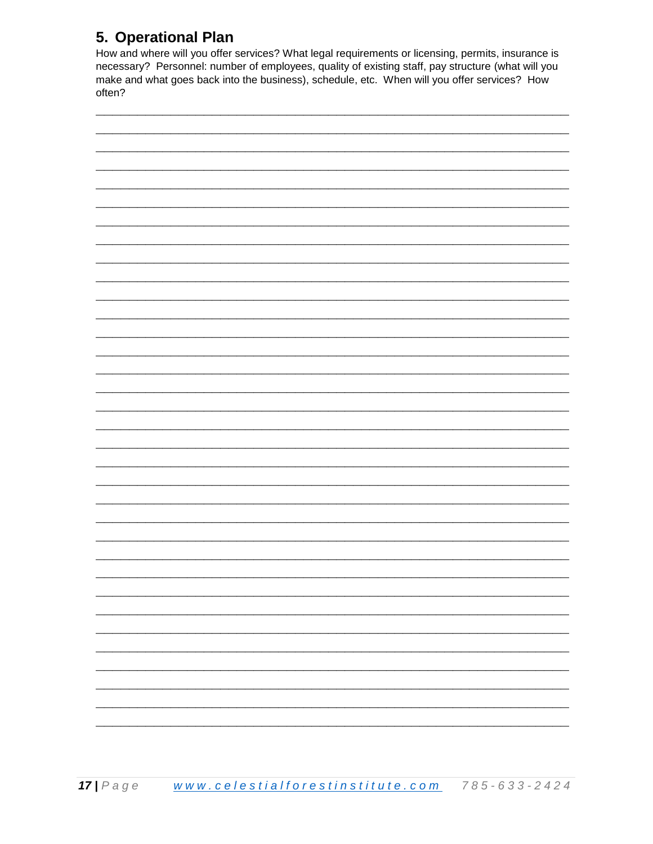## 5. Operational Plan

How and where will you offer services? What legal requirements or licensing, permits, insurance is necessary? Personnel: number of employees, quality of existing staff, pay structure (what will you make and what goes back into the business), schedule, etc. When will you offer services? How often?

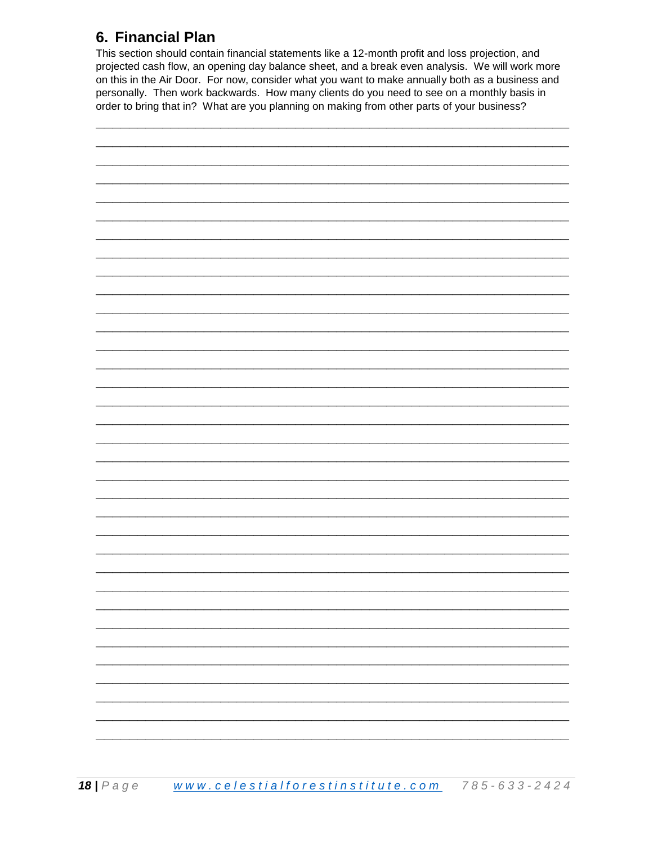## 6. Financial Plan

This section should contain financial statements like a 12-month profit and loss projection, and projected cash flow, an opening day balance sheet, and a break even analysis. We will work more on this in the Air Door. For now, consider what you want to make annually both as a business and personally. Then work backwards. How many clients do you need to see on a monthly basis in order to bring that in? What are you planning on making from other parts of your business?